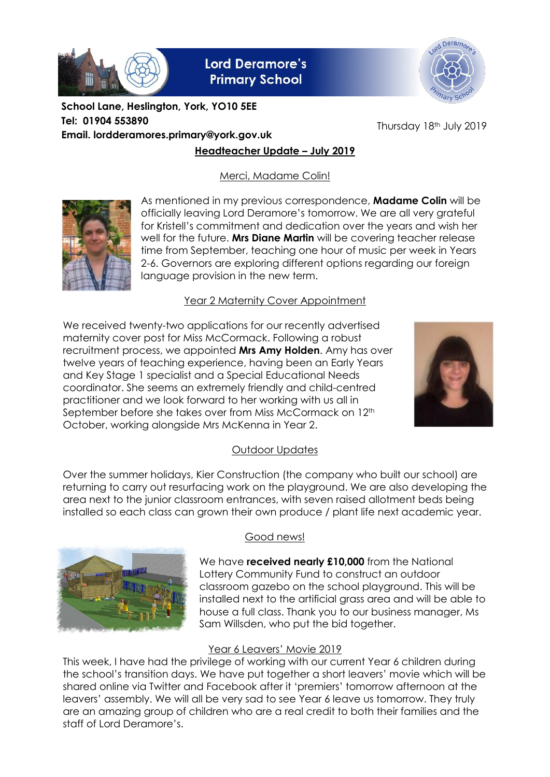

**Lord Deramore's Primary School** 



**Headteacher Update – July 2019 School Lane, Heslington, York, YO10 5EE Tel: 01904 553890 Email. lordderamores.primary@york.gov.uk**

Thursday 18th July 2019

Merci, Madame Colin!



As mentioned in my previous correspondence, **Madame Colin** will be officially leaving Lord Deramore's tomorrow. We are all very grateful for Kristell's commitment and dedication over the years and wish her well for the future. **Mrs Diane Martin** will be covering teacher release time from September, teaching one hour of music per week in Years 2-6. Governors are exploring different options regarding our foreign language provision in the new term.

## Year 2 Maternity Cover Appointment

We received twenty-two applications for our recently advertised maternity cover post for Miss McCormack. Following a robust recruitment process, we appointed **Mrs Amy Holden**. Amy has over twelve years of teaching experience, having been an Early Years and Key Stage 1 specialist and a Special Educational Needs coordinator. She seems an extremely friendly and child-centred practitioner and we look forward to her working with us all in September before she takes over from Miss McCormack on 12<sup>th</sup> October, working alongside Mrs McKenna in Year 2.



## Outdoor Updates

Over the summer holidays, Kier Construction (the company who built our school) are returning to carry out resurfacing work on the playground. We are also developing the area next to the junior classroom entrances, with seven raised allotment beds being installed so each class can grown their own produce / plant life next academic year.



## Good news!

We have **received nearly £10,000** from the National Lottery Community Fund to construct an outdoor classroom gazebo on the school playground. This will be installed next to the artificial grass area and will be able to house a full class. Thank you to our business manager, Ms Sam Willsden, who put the bid together.

## Year 6 Leavers' Movie 2019

This week, I have had the privilege of working with our current Year 6 children during the school's transition days. We have put together a short leavers' movie which will be shared online via Twitter and Facebook after it 'premiers' tomorrow afternoon at the leavers' assembly. We will all be very sad to see Year 6 leave us tomorrow. They truly are an amazing group of children who are a real credit to both their families and the staff of Lord Deramore's.